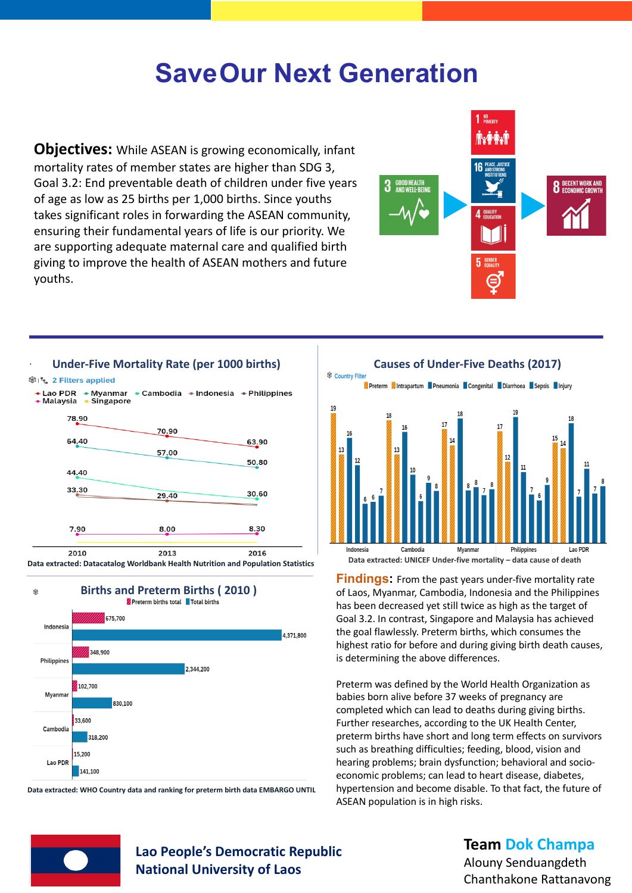# **SaveOur Next Generation**

**Objectives:** While ASEAN is growing economically, infant mortality rates of member states are higher than SDG 3, Goal 3.2: End preventable death of children under five years of age as low as 25 births per 1,000 births. Since youths takes significant roles in forwarding the ASEAN community, ensuring their fundamental years of life is our priority. We are supporting adequate maternal care and qualified birth giving to improve the health of ASEAN mothers and future youths.



3 % 2 Filters applied

**• Lao PDR** • Myanmar • Cambodia • Indonesia • Philippines  $\bullet$  Malaysia  $\bullet$  Singapore





# Lao People's Democratic Republic **National University of Laos**

Alouny Senduangdeth Chanthakone Rattanavong

## **Team Dok Champa**







Data extracted: WHO Country data and ranking for preterm birth data EMBARGO UNTIL

**Findings:** From the past years under-five mortality rate of Laos, Myanmar, Cambodia, Indonesia and the Philippines has been decreased yet still twice as high as the target of Goal 3.2. In contrast, Singapore and Malaysia has achieved the goal flawlessly. Preterm births, which consumes the highest ratio for before and during giving birth death causes, is determining the above differences.

Preterm was defined by the World Health Organization as babies born alive before 37 weeks of pregnancy are completed which can lead to deaths during giving births. Further researches, according to the UK Health Center, preterm births have short and long term effects on survivors such as breathing difficulties; feeding, blood, vision and hearing problems; brain dysfunction; behavioral and socioeconomic problems; can lead to heart disease, diabetes, hypertension and become disable. To that fact, the future of ASEAN population is in high risks.